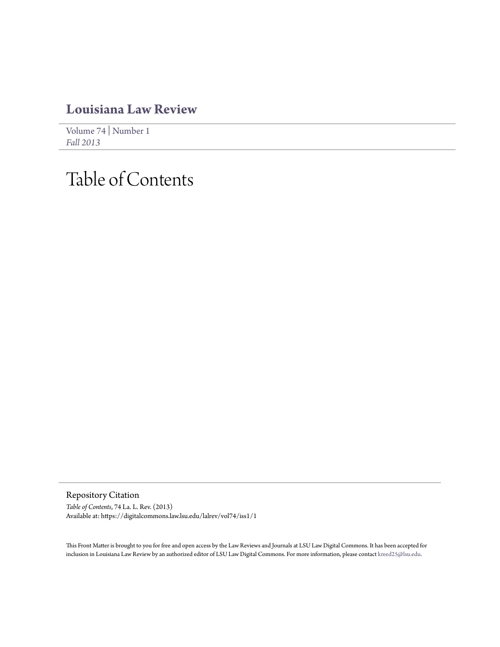### **[Louisiana Law Review](https://digitalcommons.law.lsu.edu/lalrev)**

[Volume 74](https://digitalcommons.law.lsu.edu/lalrev/vol74) | [Number 1](https://digitalcommons.law.lsu.edu/lalrev/vol74/iss1) *[Fall 2013](https://digitalcommons.law.lsu.edu/lalrev/vol74/iss1)*

## Table of Contents

Repository Citation *Table of Contents*, 74 La. L. Rev. (2013) Available at: https://digitalcommons.law.lsu.edu/lalrev/vol74/iss1/1

This Front Matter is brought to you for free and open access by the Law Reviews and Journals at LSU Law Digital Commons. It has been accepted for inclusion in Louisiana Law Review by an authorized editor of LSU Law Digital Commons. For more information, please contact [kreed25@lsu.edu](mailto:kreed25@lsu.edu).